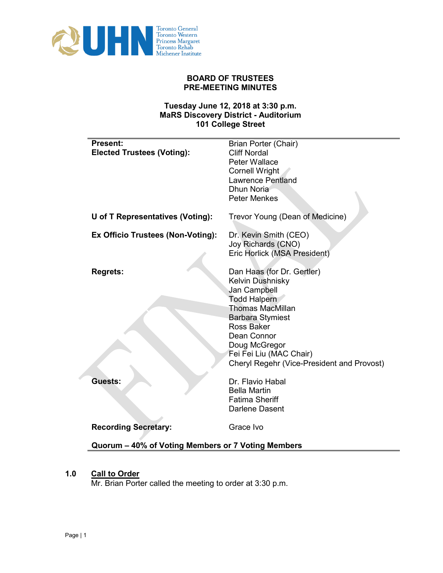

# **BOARD OF TRUSTEES PRE-MEETING MINUTES**

# **Tuesday June 12, 2018 at 3:30 p.m. MaRS Discovery District - Auditorium 101 College Street**

| <b>Present:</b><br><b>Elected Trustees (Voting):</b> | <b>Brian Porter (Chair)</b><br><b>Cliff Nordal</b><br>Peter Wallace<br><b>Cornell Wright</b><br><b>Lawrence Pentland</b><br>Dhun Noria<br><b>Peter Menkes</b>                                                                                                                    |
|------------------------------------------------------|----------------------------------------------------------------------------------------------------------------------------------------------------------------------------------------------------------------------------------------------------------------------------------|
| U of T Representatives (Voting):                     | Trevor Young (Dean of Medicine)                                                                                                                                                                                                                                                  |
| <b>Ex Officio Trustees (Non-Voting):</b>             | Dr. Kevin Smith (CEO)<br>Joy Richards (CNO)<br>Eric Horlick (MSA President)                                                                                                                                                                                                      |
| <b>Regrets:</b>                                      | Dan Haas (for Dr. Gertler)<br>Kelvin Dushnisky<br><b>Jan Campbell</b><br><b>Todd Halpern</b><br><b>Thomas MacMillan</b><br><b>Barbara Stymiest</b><br><b>Ross Baker</b><br>Dean Connor<br>Doug McGregor<br>Fei Fei Liu (MAC Chair)<br>Cheryl Regehr (Vice-President and Provost) |
| Guests:                                              | Dr. Flavio Habal<br><b>Bella Martin</b><br><b>Fatima Sheriff</b><br>Darlene Dasent                                                                                                                                                                                               |
| <b>Recording Secretary:</b>                          | Grace Ivo                                                                                                                                                                                                                                                                        |
| Quorum – 40% of Voting Members or 7 Voting Members   |                                                                                                                                                                                                                                                                                  |

# **1.0 Call to Order**

Mr. Brian Porter called the meeting to order at 3:30 p.m.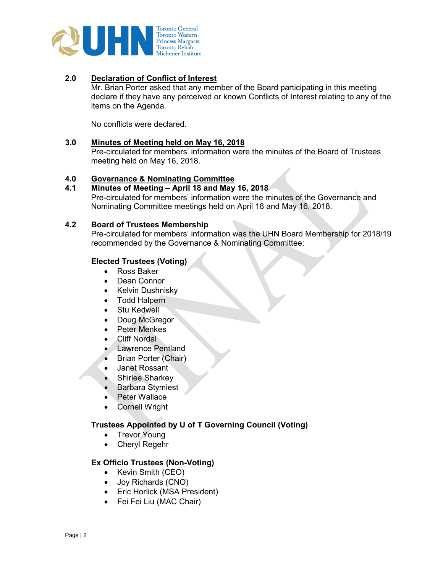

# **2.0 Declaration of Conflict of Interest**

Mr. Brian Porter asked that any member of the Board participating in this meeting declare if they have any perceived or known Conflicts of Interest relating to any of the items on the Agenda.

No conflicts were declared.

## **3.0 Minutes of Meeting held on May 16, 2018**

Pre-circulated for members' information were the minutes of the Board of Trustees meeting held on May 16, 2018.

# **4.0 Governance & Nominating Committee**

#### **4.1 Minutes of Meeting – April 18 and May 16, 2018**

Pre-circulated for members' information were the minutes of the Governance and Nominating Committee meetings held on April 18 and May 16, 2018.

## **4.2 Board of Trustees Membership**

Pre-circulated for members' information was the UHN Board Membership for 2018/19 recommended by the Governance & Nominating Committee:

## **Elected Trustees (Voting)**

- Ross Baker
- Dean Connor
- Kelvin Dushnisky
- Todd Halpern
- Stu Kedwell
- Doug McGregor
- Peter Menkes
- **Cliff Nordal**
- Lawrence Pentland
- Brian Porter (Chair)
- Janet Rossant
- Shirlee Sharkey
- Barbara Stymiest
- Peter Wallace
- **Cornell Wright**

## **Trustees Appointed by U of T Governing Council (Voting)**

- Trevor Young
- Cheryl Regehr

# **Ex Officio Trustees (Non-Voting)**

- Kevin Smith (CEO)
- Joy Richards (CNO)
- Eric Horlick (MSA President)
- Fei Fei Liu (MAC Chair)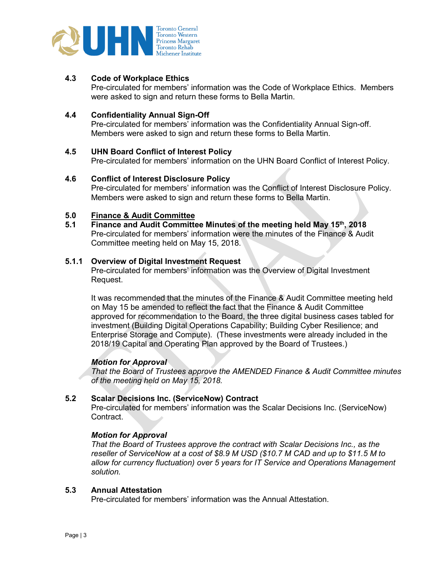

# **4.3 Code of Workplace Ethics**

Pre-circulated for members' information was the Code of Workplace Ethics.Members were asked to sign and return these forms to Bella Martin.

## **4.4 Confidentiality Annual Sign-Off**

Pre-circulated for members' information was the Confidentiality Annual Sign-off. Members were asked to sign and return these forms to Bella Martin.

## **4.5 UHN Board Conflict of Interest Policy**

Pre-circulated for members' information on the UHN Board Conflict of Interest Policy.

## **4.6 Conflict of Interest Disclosure Policy**

Pre-circulated for members' information was the Conflict of Interest Disclosure Policy. Members were asked to sign and return these forms to Bella Martin.

# **5.0 Finance & Audit Committee**

**5.1 Finance and Audit Committee Minutes of the meeting held May 15th, 2018** Pre-circulated for members' information were the minutes of the Finance & Audit Committee meeting held on May 15, 2018.

#### **5.1.1 Overview of Digital Investment Request**

Pre-circulated for members' information was the Overview of Digital Investment Request.

It was recommended that the minutes of the Finance & Audit Committee meeting held on May 15 be amended to reflect the fact that the Finance & Audit Committee approved for recommendation to the Board, the three digital business cases tabled for investment (Building Digital Operations Capability; Building Cyber Resilience; and Enterprise Storage and Compute). (These investments were already included in the 2018/19 Capital and Operating Plan approved by the Board of Trustees.)

## *Motion for Approval*

*That the Board of Trustees approve the AMENDED Finance & Audit Committee minutes of the meeting held on May 15, 2018.*

# **5.2 Scalar Decisions Inc. (ServiceNow) Contract**

Pre-circulated for members' information was the Scalar Decisions Inc. (ServiceNow) Contract.

# *Motion for Approval*

*That the Board of Trustees approve the contract with Scalar Decisions Inc., as the reseller of ServiceNow at a cost of \$8.9 M USD (\$10.7 M CAD and up to \$11.5 M to allow for currency fluctuation) over 5 years for IT Service and Operations Management solution.*

## **5.3 Annual Attestation**

Pre-circulated for members' information was the Annual Attestation.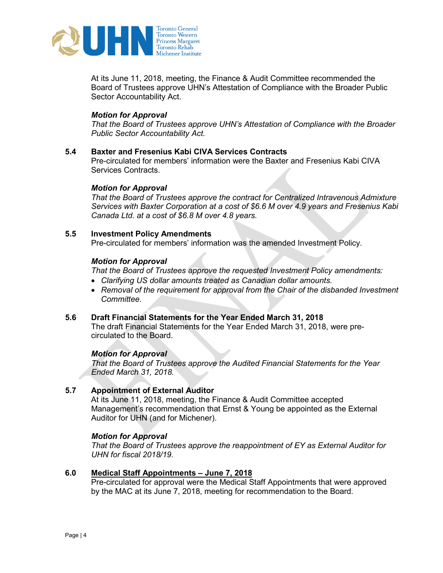

At its June 11, 2018, meeting, the Finance & Audit Committee recommended the Board of Trustees approve UHN's Attestation of Compliance with the Broader Public Sector Accountability Act.

# *Motion for Approval*

*That the Board of Trustees approve UHN's Attestation of Compliance with the Broader Public Sector Accountability Act.*

# **5.4 Baxter and Fresenius Kabi CIVA Services Contracts**

Pre-circulated for members' information were the Baxter and Fresenius Kabi CIVA Services Contracts.

## *Motion for Approval*

*That the Board of Trustees approve the contract for Centralized Intravenous Admixture Services with Baxter Corporation at a cost of \$6.6 M over 4.9 years and Fresenius Kabi Canada Ltd. at a cost of \$6.8 M over 4.8 years.*

# **5.5 Investment Policy Amendments**

Pre-circulated for members' information was the amended Investment Policy.

# *Motion for Approval*

*That the Board of Trustees approve the requested Investment Policy amendments:*

- *Clarifying US dollar amounts treated as Canadian dollar amounts.*
- *Removal of the requirement for approval from the Chair of the disbanded Investment Committee.*

## **5.6 Draft Financial Statements for the Year Ended March 31, 2018**

The draft Financial Statements for the Year Ended March 31, 2018, were precirculated to the Board.

## *Motion for Approval*

*That the Board of Trustees approve the Audited Financial Statements for the Year Ended March 31, 2018.* 

# **5.7 Appointment of External Auditor**

At its June 11, 2018, meeting, the Finance & Audit Committee accepted Management's recommendation that Ernst & Young be appointed as the External Auditor for UHN (and for Michener).

# *Motion for Approval*

*That the Board of Trustees approve the reappointment of EY as External Auditor for UHN for fiscal 2018/19.*

## **6.0 Medical Staff Appointments – June 7, 2018**

Pre-circulated for approval were the Medical Staff Appointments that were approved by the MAC at its June 7, 2018, meeting for recommendation to the Board.